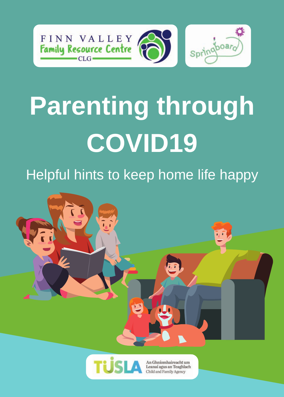

# **Parenting through COVID19**

Helpful hints to keep home life happy





An Ghníomhaireacht um<br>Leanaí agus an Teaghlach Child and Family Agency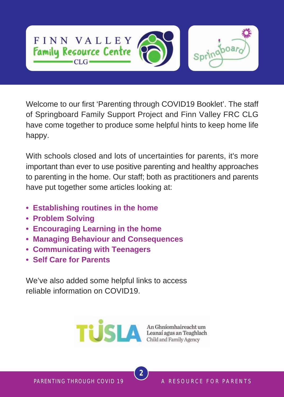

Welcome to our first 'Parenting through COVID19 Booklet'. The staff of Springboard Family Support Project and Finn Valley FRC CLG have come together to produce some helpful hints to keep home life happy.

With schools closed and lots of uncertainties for parents, it's more important than ever to use positive parenting and healthy approaches to parenting in the home. Our staff; both as practitioners and parents have put together some articles looking at:

- **Establishing routines in the home**
- **Problem Solving**
- **Encouraging Learning in the home**
- **Managing Behaviour and Consequences**
- **Communicating with Teenagers**
- **Self Care for Parents**

We've also added some helpful links to access reliable information on COVID19.



**2**

Child and Family Agency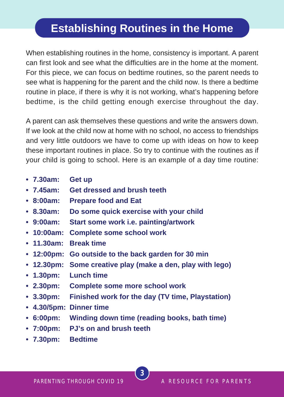## **Establishing Routines in the Home**

When establishing routines in the home, consistency is important. A parent can first look and see what the difficulties are in the home at the moment. For this piece, we can focus on bedtime routines, so the parent needs to see what is happening for the parent and the child now. Is there a bedtime routine in place, if there is why it is not working, what's happening before bedtime, is the child getting enough exercise throughout the day.

A parent can ask themselves these questions and write the answers down. If we look at the child now at home with no school, no access to friendships and very little outdoors we have to come up with ideas on how to keep these important routines in place. So try to continue with the routines as if your child is going to school. Here is an example of a day time routine:

- **7.30am: Get up**
- **7.45am: Get dressed and brush teeth**
- **8:00am: Prepare food and Eat**
- **8.30am: Do some quick exercise with your child**
- **9:00am: Start some work i.e. painting/artwork**
- **10:00am: Complete some school work**
- **11.30am: Break time**
- **12:00pm: Go outside to the back garden for 30 min**
- **12.30pm: Some creative play (make a den, play with lego)**
- **1.30pm: Lunch time**
- **2.30pm: Complete some more school work**
- **3.30pm: Finished work for the day (TV time, Playstation)**
- **4.30/5pm: Dinner time**
- **6:00pm: Winding down time (reading books, bath time)**

- **7:00pm: PJ's on and brush teeth**
- **7.30pm: Bedtime**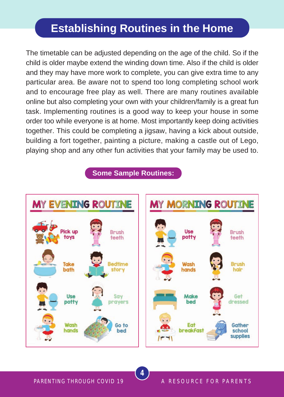## **Establishing Routines in the Home**

The timetable can be adjusted depending on the age of the child. So if the child is older maybe extend the winding down time. Also if the child is older and they may have more work to complete, you can give extra time to any particular area. Be aware not to spend too long completing school work and to encourage free play as well. There are many routines available online but also completing your own with your children/family is a great fun task. Implementing routines is a good way to keep your house in some order too while everyone is at home. Most importantly keep doing activities together. This could be completing a jigsaw, having a kick about outside, building a fort together, painting a picture, making a castle out of Lego, playing shop and any other fun activities that your family may be used to.



**Some Sample Routines:**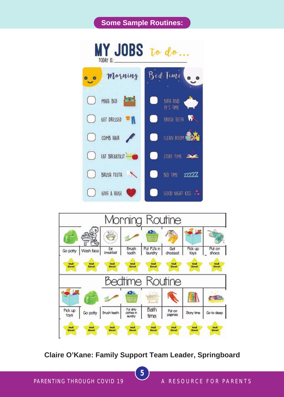



#### **Claire O'Kane: Family Support Team Leader, Springboard**

**5**

PARENTING THROUGH COVID 19 A RESOURCE FOR PARENTS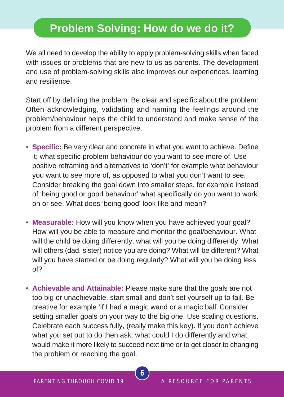## **Problem Solving: How do we do it?**

We all need to develop the ability to apply problem-solving skills when faced with issues or problems that are new to us as parents. The development and use of problem-solving skills also improves our experiences, learning and resilience.

Start off by defining the problem. Be clear and specific about the problem: Often acknowledging, validating and naming the feelings around the problem/behaviour helps the child to understand and make sense of the problem from a different perspective.

- **Specific:** Be very clear and concrete in what you want to achieve. Define it; what specific problem behaviour do you want to see more of. Use positive reframing and alternatives to 'don't' for example what behaviour you want to see more of, as opposed to what you don't want to see. Consider breaking the goal down into smaller steps, for example instead of 'being good or good behaviour' what specifically do you want to work on or see. What does 'being good' look like and mean?
- **Measurable:** How will you know when you have achieved your goal? How will you be able to measure and monitor the goal/behaviour. What will the child be doing differently, what will you be doing differently. What will others (dad, sister) notice you are doing? What will be different? What will you have started or be doing regularly? What will you be doing less of?
- **Achievable and Attainable:** Please make sure that the goals are not too big or unachievable, start small and don't set yourself up to fail. Be creative for example 'if I had a magic wand or a magic ball' Consider setting smaller goals on your way to the big one. Use scaling questions. Celebrate each success fully, (really make this key). If you don't achieve what you set out to do then ask; what could I do differently and what would make it more likely to succeed next time or to get closer to changing the problem or reaching the goal.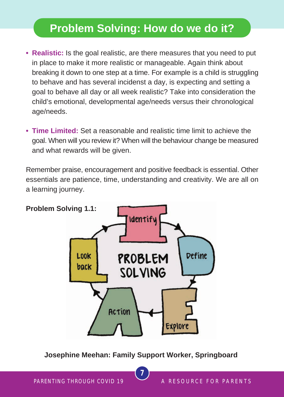## **Problem Solving: How do we do it?**

- **Realistic:** Is the goal realistic, are there measures that you need to put in place to make it more realistic or manageable. Again think about breaking it down to one step at a time. For example is a child is struggling to behave and has several incidenst a day, is expecting and setting a goal to behave all day or all week realistic? Take into consideration the child's emotional, developmental age/needs versus their chronological age/needs.
- **Time Limited:** Set a reasonable and realistic time limit to achieve the goal. When will you review it? When will the behaviour change be measured and what rewards will be given.

Remember praise, encouragement and positive feedback is essential. Other essentials are patience, time, understanding and creativity. We are all on a learning journey.



**Josephine Meehan: Family Support Worker, Springboard**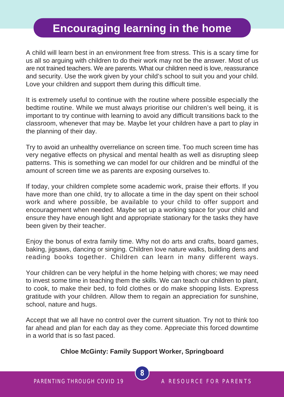## **Encouraging learning in the home**

A child will learn best in an environment free from stress. This is a scary time for us all so arguing with children to do their work may not be the answer. Most of us are not trained teachers. We are parents. What our children need is love, reassurance and security. Use the work given by your child's school to suit you and your child. Love your children and support them during this difficult time.

It is extremely useful to continue with the routine where possible especially the bedtime routine. While we must always prioritise our children's well being, it is important to try continue with learning to avoid any difficult transitions back to the classroom, whenever that may be. Maybe let your children have a part to play in the planning of their day.

Try to avoid an unhealthy overreliance on screen time. Too much screen time has very negative effects on physical and mental health as well as disrupting sleep patterns. This is something we can model for our children and be mindful of the amount of screen time we as parents are exposing ourselves to.

If today, your children complete some academic work, praise their efforts. If you have more than one child, try to allocate a time in the day spent on their school work and where possible, be available to your child to offer support and encouragement when needed. Maybe set up a working space for your child and ensure they have enough light and appropriate stationary for the tasks they have been given by their teacher.

Enjoy the bonus of extra family time. Why not do arts and crafts, board games, baking, jigsaws, dancing or singing. Children love nature walks, building dens and reading books together. Children can learn in many different ways.

Your children can be very helpful in the home helping with chores; we may need to invest some time in teaching them the skills. We can teach our children to plant, to cook, to make their bed, to fold clothes or do make shopping lists. Express gratitude with your children. Allow them to regain an appreciation for sunshine, school, nature and hugs.

Accept that we all have no control over the current situation. Try not to think too far ahead and plan for each day as they come. Appreciate this forced downtime in a world that is so fast paced.

#### **Chloe McGinty: Family Support Worker, Springboard**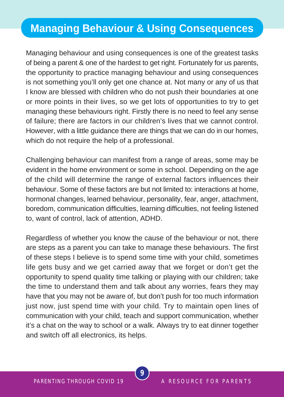## **Managing Behaviour & Using Consequences**

Managing behaviour and using consequences is one of the greatest tasks of being a parent & one of the hardest to get right. Fortunately for us parents, the opportunity to practice managing behaviour and using consequences is not something you'll only get one chance at. Not many or any of us that I know are blessed with children who do not push their boundaries at one or more points in their lives, so we get lots of opportunities to try to get managing these behaviours right. Firstly there is no need to feel any sense of failure; there are factors in our children's lives that we cannot control. However, with a little guidance there are things that we can do in our homes, which do not require the help of a professional.

Challenging behaviour can manifest from a range of areas, some may be evident in the home environment or some in school. Depending on the age of the child will determine the range of external factors influences their behaviour. Some of these factors are but not limited to: interactions at home, hormonal changes, learned behaviour, personality, fear, anger, attachment, boredom, communication difficulties, learning difficulties, not feeling listened to, want of control, lack of attention, ADHD.

Regardless of whether you know the cause of the behaviour or not, there are steps as a parent you can take to manage these behaviours. The first of these steps I believe is to spend some time with your child, sometimes life gets busy and we get carried away that we forget or don't get the opportunity to spend quality time talking or playing with our children; take the time to understand them and talk about any worries, fears they may have that you may not be aware of, but don't push for too much information just now, just spend time with your child. Try to maintain open lines of communication with your child, teach and support communication, whether it's a chat on the way to school or a walk. Always try to eat dinner together and switch off all electronics, its helps.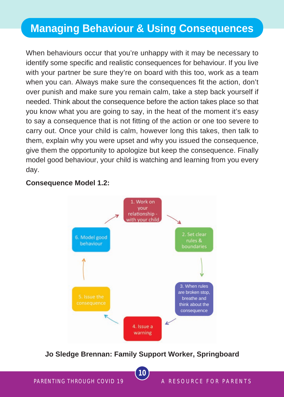## **Managing Behaviour & Using Consequences**

When behaviours occur that you're unhappy with it may be necessary to identify some specific and realistic consequences for behaviour. If you live with your partner be sure they're on board with this too, work as a team when you can. Always make sure the consequences fit the action, don't over punish and make sure you remain calm, take a step back yourself if needed. Think about the consequence before the action takes place so that you know what you are going to say, in the heat of the moment it's easy to say a consequence that is not fitting of the action or one too severe to carry out. Once your child is calm, however long this takes, then talk to them, explain why you were upset and why you issued the consequence, give them the opportunity to apologize but keep the consequence. Finally model good behaviour, your child is watching and learning from you every day.

#### **Consequence Model 1.2:**



**Jo Sledge Brennan: Family Support Worker, Springboard**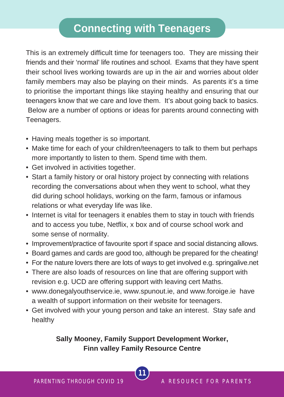## **Connecting with Teenagers**

This is an extremely difficult time for teenagers too. They are missing their friends and their 'normal' life routines and school. Exams that they have spent their school lives working towards are up in the air and worries about older family members may also be playing on their minds. As parents it's a time to prioritise the important things like staying healthy and ensuring that our teenagers know that we care and love them. It's about going back to basics. Below are a number of options or ideas for parents around connecting with Teenagers.

- Having meals together is so important.
- Make time for each of your children/teenagers to talk to them but perhaps more importantly to listen to them. Spend time with them.
- Get involved in activities together.
- Start a family history or oral history project by connecting with relations recording the conversations about when they went to school, what they did during school holidays, working on the farm, famous or infamous relations or what everyday life was like.
- Internet is vital for teenagers it enables them to stay in touch with friends and to access you tube, Netflix, x box and of course school work and some sense of normality.
- Improvement/practice of favourite sport if space and social distancing allows.
- Board games and cards are good too, although be prepared for the cheating!
- For the nature lovers there are lots of ways to get involved e.g. springalive.net
- There are also loads of resources on line that are offering support with revision e.g. UCD are offering support with leaving cert Maths.
- www.donegalyouthservice.ie, www.spunout.ie, and www.foroige.ie have a wealth of support information on their website for teenagers.
- Get involved with your young person and take an interest. Stay safe and healthy

#### **Sally Mooney, Family Support Development Worker, Finn valley Family Resource Centre**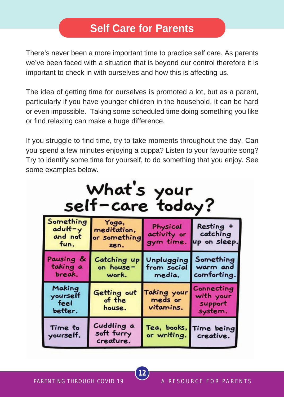## **Self Care for Parents**

There's never been a more important time to practice self care. As parents we've been faced with a situation that is beyond our control therefore it is important to check in with ourselves and how this is affecting us.

The idea of getting time for ourselves is promoted a lot, but as a parent, particularly if you have younger children in the household, it can be hard or even impossible. Taking some scheduled time doing something you like or find relaxing can make a huge difference.

If you struggle to find time, try to take moments throughout the day. Can you spend a few minutes enjoying a cuppa? Listen to your favourite song? Try to identify some time for yourself, to do something that you enjoy. See some examples below.

| What's your<br>self-care today?             |                                              |                                      |                                               |
|---------------------------------------------|----------------------------------------------|--------------------------------------|-----------------------------------------------|
| Something<br>$adult - y$<br>and not<br>fun. | Yoga,<br>meditation,<br>or something<br>zen. | Physical<br>activity or<br>gym time. | Resting +<br>catching<br>up on sleep.         |
| Pausing &<br>taking a<br>break.             | Catching up<br>on house-<br>work.            | Unplugging<br>from social<br>media.  | Something<br>warm and<br>comforting.          |
| Making<br>yourself<br>feel<br>better.       | Getting out<br>of the<br>house.              | Taking your<br>meds or<br>vitamins.  | Connecting<br>with your<br>support<br>system. |
| Time to<br>yourself.                        | Cuddling a<br>soft furry<br>creature.        | or writing. creative.                | Tea, books, Time being                        |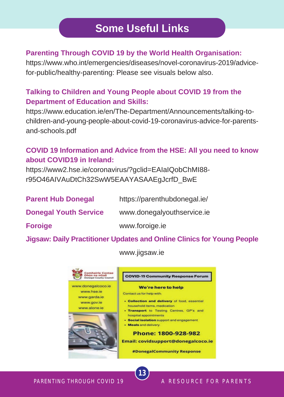## **Some Useful Links**

#### **Parenting Through COVID 19 by the World Health Organisation:**

https://www.who.int/emergencies/diseases/novel-coronavirus-2019/advicefor-public/healthy-parenting: Please see visuals below also.

#### **Talking to Children and Young People about COVID 19 from the Department of Education and Skills:**

https://www.education.ie/en/The-Department/Announcements/talking-tochildren-and-young-people-about-covid-19-coronavirus-advice-for-parentsand-schools.pdf

### **COVID 19 Information and Advice from the HSE: All you need to know about COVID19 in Ireland:**

https://www2.hse.ie/coronavirus/?gclid=EAIaIQobChMI88 r95O46AIVAuDtCh32SwW5EAAYASAAEgJcrfD\_BwE

| <b>Parent Hub Donegal</b>    | https://parenthubdonegal.ie/ |
|------------------------------|------------------------------|
| <b>Donegal Youth Service</b> | www.donegalyouthservice.ie   |
| <b>Foroige</b>               | www.foroige.ie               |

**Jigsaw: Daily Practitioner Updates and Online Clinics for Young People**

#### www.jigsaw.ie



**13**

PARENTING THROUGH COVID 19 A RESOURCE FOR PARENTS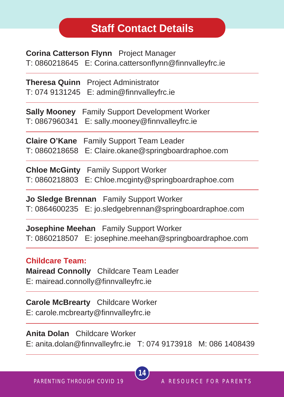## **Staff Contact Details**

**Corina Catterson Flynn** Project Manager T: 0860218645 E: Corina.cattersonflynn@finnvalleyfrc.ie

| <b>Theresa Quinn</b> Project Administrator<br>T: 074 9131245 E: admin@finnvalleyfrc.ie                  |
|---------------------------------------------------------------------------------------------------------|
| <b>Sally Mooney</b> Family Support Development Worker<br>T: 0867960341 E: sally.mooney@finnvalleyfrc.ie |
| <b>Claire O'Kane</b> Family Support Team Leader                                                         |
| T: 0860218658 E: Claire.okane@springboardraphoe.com                                                     |
| <b>Chloe McGinty</b> Family Support Worker                                                              |
| T: 0860218803 E: Chloe.mcginty@springboardraphoe.com                                                    |
| Jo Sledge Brennan Family Support Worker                                                                 |
| T: 0864600235 E: jo.sledgebrennan@springboardraphoe.com                                                 |
| <b>Josephine Meehan</b> Family Support Worker                                                           |
| T: 0860218507 E: josephine.meehan@springboardraphoe.com                                                 |
| <b>Childcare Team:</b>                                                                                  |
| <b>Mairead Connolly</b> Childcare Team Leader                                                           |
| E: mairead.connolly@finnvalleyfrc.ie                                                                    |

**Carole McBrearty** Childcare Worker

E: carole.mcbrearty@finnvalleyfrc.ie

#### **Anita Dolan** Childcare Worker

E: anita.dolan@finnvalleyfrc.ie T: 074 9173918 M: 086 1408439

**14**

PARENTING THROUGH COVID 19 A RESOURCE FOR PARENTS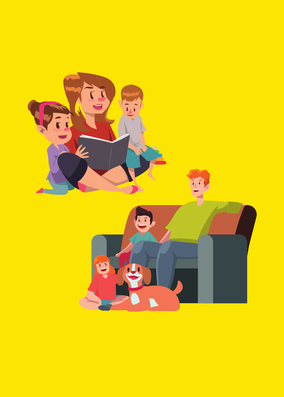